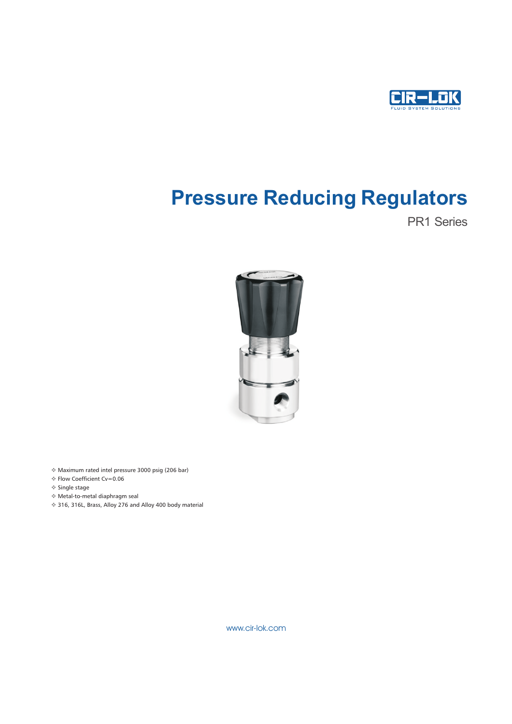

# Pressure Reducing Regulators

PR1 Series



- v Maximum rated intel pressure 3000 psig (206 bar)
- v Flow Coefficient Cv=0.06
- v Single stage
- v Metal-to-metal diaphragm seal
- v 316, 316L, Brass, Alloy 276 and Alloy 400 body material

www.cir-lok.com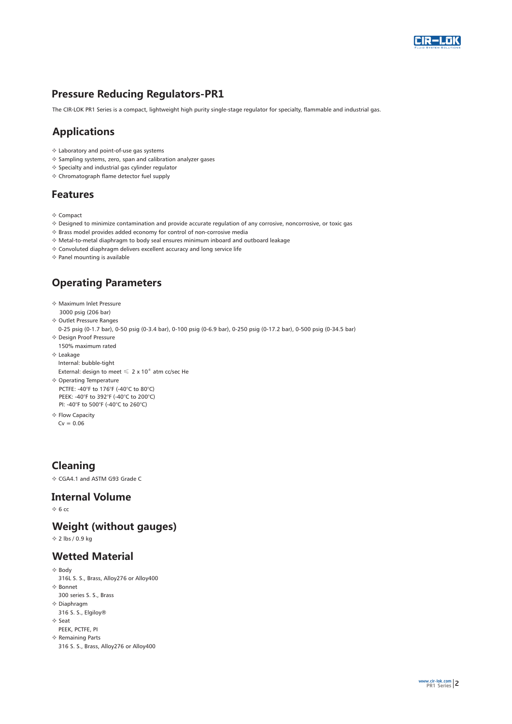

# Pressure Reducing Regulators-PR1

The CIR-LOK PR1 Series is a compact, lightweight high purity single-stage regulator for specialty, flammable and industrial gas.

# Applications

- v Laboratory and point-of-use gas systems
- v Sampling systems, zero, span and calibration analyzer gases
- v Specialty and industrial gas cylinder regulator
- v Chromatograph flame detector fuel supply

## Features

- v Compact
- v Designed to minimize contamination and provide accurate regulation of any corrosive, noncorrosive, or toxic gas
- v Brass model provides added economy for control of non-corrosive media
- v Metal-to-metal diaphragm to body seal ensures minimum inboard and outboard leakage
- v Convoluted diaphragm delivers excellent accuracy and long service life
- v Panel mounting is available

# Operating Parameters

- $*$  Maximum Inlet Pressure 3000 psig (206 bar)
- v Outlet Pressure Ranges
- 0-25 psig ( 0-1.7 bar), 0-50 psig (0-3.4 bar), 0-100 psig (0-6.9 bar), 0-250 psig (0-17.2 bar), 0-500 psig (0-34.5 bar)
- v Design Proof Pressure 150% maximum rated
- v Leakage

 Internal: bubble-tight External: design to meet  $\leqslant 2$  x 10<sup> $\textdegree$ </sup> atm cc/sec He

- ◆ Operating Temperature PCTFE: -40°F to 176°F (-40°C to 80°C) PEEK: -40°F to 392°F (-40°C to 200°C) PI: -40°F to 500°F (-40°C to 260°C)
- **Elow Capacity**
- $Cv = 0.06$

# Cleaning

v CGA4.1 and ASTM G93 Grade C

#### Int ernal Volume

 $\div 6$  cc

## Weight (without gauges)

v 2 lbs / 0.9 kg

## Wetted Material

- v Body
- 316L S. S., Brass, Alloy276 or Alloy400
- v Bonnet
- 300 series S. S., Brass
- v Diaphragm 316 S. S., Elgiloy®
- v Seat
- PEEK, PCTFE, PI
- v Remaining Parts
	- 316 S. S., Brass, Alloy276 or Alloy400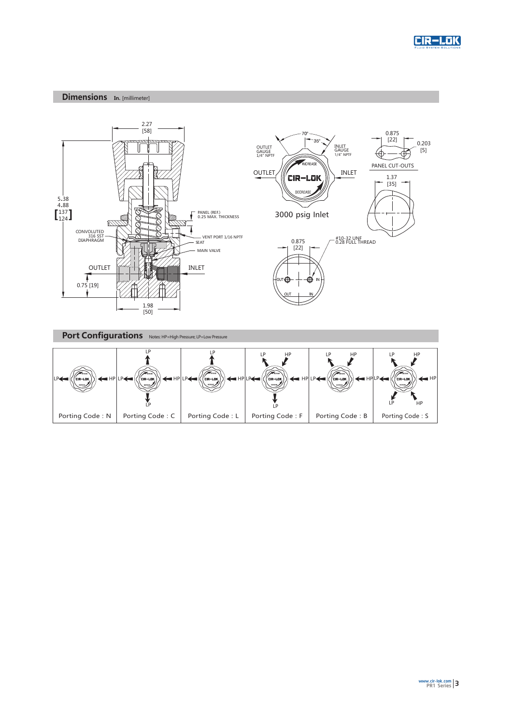

#### Dimensions In. [millimeter]



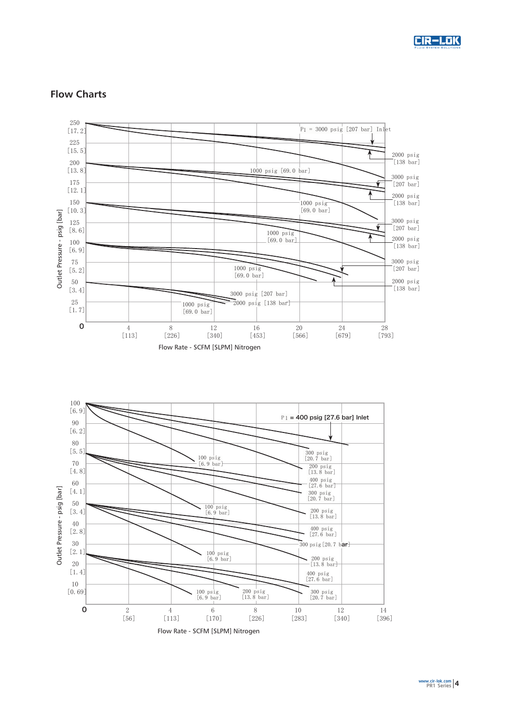





## Flow Charts